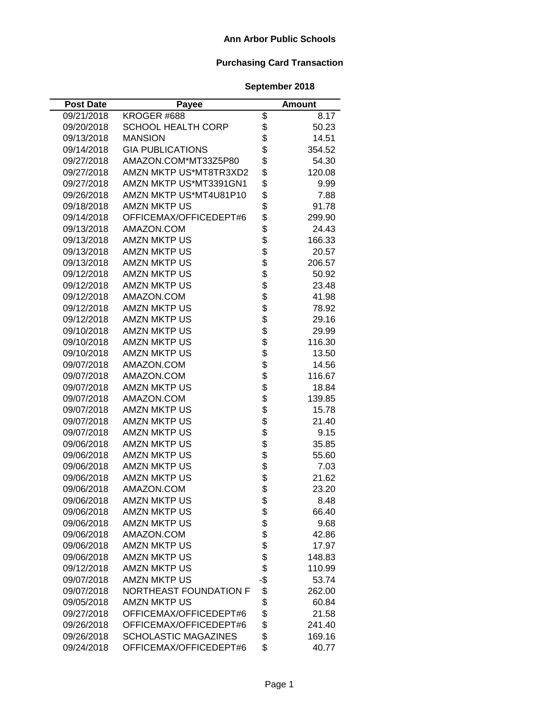| <b>Post Date</b> | Payee                       |                | Amount |
|------------------|-----------------------------|----------------|--------|
| 09/21/2018       | KROGER #688                 | \$             | 8.17   |
| 09/20/2018       | <b>SCHOOL HEALTH CORP</b>   | \$             | 50.23  |
| 09/13/2018       | <b>MANSION</b>              | \$             | 14.51  |
| 09/14/2018       | <b>GIA PUBLICATIONS</b>     | \$             | 354.52 |
| 09/27/2018       | AMAZON.COM*MT33Z5P80        | \$             | 54.30  |
| 09/27/2018       | AMZN MKTP US*MT8TR3XD2      | \$             | 120.08 |
| 09/27/2018       | AMZN MKTP US*MT3391GN1      | \$             | 9.99   |
| 09/26/2018       | AMZN MKTP US*MT4U81P10      | \$             | 7.88   |
| 09/18/2018       | <b>AMZN MKTP US</b>         | \$             | 91.78  |
| 09/14/2018       | OFFICEMAX/OFFICEDEPT#6      | \$             | 299.90 |
| 09/13/2018       | AMAZON.COM                  | \$             | 24.43  |
| 09/13/2018       | <b>AMZN MKTP US</b>         | \$             | 166.33 |
| 09/13/2018       | <b>AMZN MKTP US</b>         |                | 20.57  |
| 09/13/2018       | <b>AMZN MKTP US</b>         |                | 206.57 |
| 09/12/2018       | <b>AMZN MKTP US</b>         | \$\$\$         | 50.92  |
| 09/12/2018       | <b>AMZN MKTP US</b>         |                | 23.48  |
| 09/12/2018       | AMAZON.COM                  | \$             | 41.98  |
| 09/12/2018       | <b>AMZN MKTP US</b>         | \$             | 78.92  |
| 09/12/2018       | <b>AMZN MKTP US</b>         |                | 29.16  |
| 09/10/2018       | <b>AMZN MKTP US</b>         |                | 29.99  |
| 09/10/2018       | <b>AMZN MKTP US</b>         |                | 116.30 |
| 09/10/2018       | <b>AMZN MKTP US</b>         |                | 13.50  |
| 09/07/2018       | AMAZON.COM                  |                | 14.56  |
| 09/07/2018       | AMAZON.COM                  | <b>8888888</b> | 116.67 |
| 09/07/2018       | <b>AMZN MKTP US</b>         |                | 18.84  |
| 09/07/2018       | AMAZON.COM                  | \$             | 139.85 |
| 09/07/2018       | <b>AMZN MKTP US</b>         |                | 15.78  |
| 09/07/2018       | <b>AMZN MKTP US</b>         |                | 21.40  |
| 09/07/2018       | <b>AMZN MKTP US</b>         |                | 9.15   |
| 09/06/2018       | <b>AMZN MKTP US</b>         | <b>8888888</b> | 35.85  |
| 09/06/2018       | <b>AMZN MKTP US</b>         |                | 55.60  |
| 09/06/2018       | <b>AMZN MKTP US</b>         |                | 7.03   |
| 09/06/2018       | <b>AMZN MKTP US</b>         |                | 21.62  |
| 09/06/2018       | AMAZON.COM                  | \$             | 23.20  |
| 09/06/2018       | <b>AMZN MKTP US</b>         | \$             | 8.48   |
| 09/06/2018       | <b>AMZN MKTP US</b>         | \$             | 66.40  |
| 09/06/2018       | <b>AMZN MKTP US</b>         | \$\$\$\$\$     | 9.68   |
| 09/06/2018       | AMAZON.COM                  |                | 42.86  |
| 09/06/2018       | <b>AMZN MKTP US</b>         |                | 17.97  |
| 09/06/2018       | <b>AMZN MKTP US</b>         |                | 148.83 |
| 09/12/2018       | <b>AMZN MKTP US</b>         |                | 110.99 |
| 09/07/2018       | <b>AMZN MKTP US</b>         | -\$            | 53.74  |
| 09/07/2018       | NORTHEAST FOUNDATION F      | \$             | 262.00 |
| 09/05/2018       | <b>AMZN MKTP US</b>         | \$             | 60.84  |
| 09/27/2018       | OFFICEMAX/OFFICEDEPT#6      | \$             | 21.58  |
| 09/26/2018       | OFFICEMAX/OFFICEDEPT#6      | \$             | 241.40 |
| 09/26/2018       | <b>SCHOLASTIC MAGAZINES</b> | \$             | 169.16 |
| 09/24/2018       | OFFICEMAX/OFFICEDEPT#6      | \$             | 40.77  |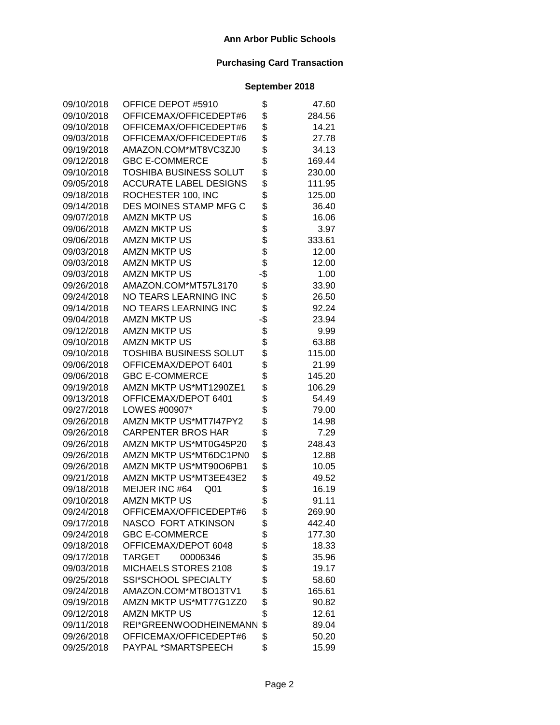| 09/10/2018 | OFFICE DEPOT #5910                | \$  | 47.60  |
|------------|-----------------------------------|-----|--------|
| 09/10/2018 | OFFICEMAX/OFFICEDEPT#6            | \$  | 284.56 |
| 09/10/2018 | OFFICEMAX/OFFICEDEPT#6            | \$  | 14.21  |
| 09/03/2018 | OFFICEMAX/OFFICEDEPT#6            | \$  | 27.78  |
| 09/19/2018 | AMAZON.COM*MT8VC3ZJ0              | \$  | 34.13  |
| 09/12/2018 | <b>GBC E-COMMERCE</b>             | \$  | 169.44 |
| 09/10/2018 | <b>TOSHIBA BUSINESS SOLUT</b>     | \$  | 230.00 |
| 09/05/2018 | <b>ACCURATE LABEL DESIGNS</b>     | \$  | 111.95 |
| 09/18/2018 | ROCHESTER 100, INC                | \$  | 125.00 |
| 09/14/2018 | DES MOINES STAMP MFG C            | \$  | 36.40  |
| 09/07/2018 | <b>AMZN MKTP US</b>               | \$  | 16.06  |
| 09/06/2018 | <b>AMZN MKTP US</b>               | \$  | 3.97   |
| 09/06/2018 | <b>AMZN MKTP US</b>               | \$  | 333.61 |
| 09/03/2018 | <b>AMZN MKTP US</b>               | \$  | 12.00  |
| 09/03/2018 | <b>AMZN MKTP US</b>               | \$  | 12.00  |
| 09/03/2018 | <b>AMZN MKTP US</b>               | -\$ | 1.00   |
| 09/26/2018 | AMAZON.COM*MT57L3170              | \$  | 33.90  |
| 09/24/2018 | NO TEARS LEARNING INC             | \$  | 26.50  |
| 09/14/2018 | <b>NO TEARS LEARNING INC</b>      | \$  | 92.24  |
| 09/04/2018 | <b>AMZN MKTP US</b>               | -\$ | 23.94  |
| 09/12/2018 | <b>AMZN MKTP US</b>               | \$  | 9.99   |
| 09/10/2018 | <b>AMZN MKTP US</b>               | \$  | 63.88  |
| 09/10/2018 | <b>TOSHIBA BUSINESS SOLUT</b>     | \$  | 115.00 |
| 09/06/2018 | OFFICEMAX/DEPOT 6401              | \$  | 21.99  |
| 09/06/2018 | <b>GBC E-COMMERCE</b>             | \$  | 145.20 |
| 09/19/2018 | AMZN MKTP US*MT1290ZE1            | \$  | 106.29 |
| 09/13/2018 | OFFICEMAX/DEPOT 6401              | \$  | 54.49  |
| 09/27/2018 | LOWES #00907*                     | \$  | 79.00  |
| 09/26/2018 | AMZN MKTP US*MT7I47PY2            | \$  | 14.98  |
| 09/26/2018 | <b>CARPENTER BROS HAR</b>         | \$  | 7.29   |
| 09/26/2018 | AMZN MKTP US*MT0G45P20            | \$  | 248.43 |
| 09/26/2018 | AMZN MKTP US*MT6DC1PN0            | \$  | 12.88  |
| 09/26/2018 | AMZN MKTP US*MT90O6PB1            | \$  | 10.05  |
| 09/21/2018 | AMZN MKTP US*MT3EE43E2            | \$  | 49.52  |
| 09/18/2018 | MEIJER INC #64<br>Q <sub>01</sub> | \$  | 16.19  |
| 09/10/2018 | <b>AMZN MKTP US</b>               | \$  | 91.11  |
| 09/24/2018 | OFFICEMAX/OFFICEDEPT#6            | \$  | 269.90 |
| 09/17/2018 | NASCO FORT ATKINSON               | \$  | 442.40 |
| 09/24/2018 | <b>GBC E-COMMERCE</b>             | \$  | 177.30 |
| 09/18/2018 | OFFICEMAX/DEPOT 6048              | \$  | 18.33  |
| 09/17/2018 | <b>TARGET</b><br>00006346         | \$  | 35.96  |
| 09/03/2018 | MICHAELS STORES 2108              | \$  | 19.17  |
| 09/25/2018 | SSI*SCHOOL SPECIALTY              | \$  | 58.60  |
| 09/24/2018 | AMAZON.COM*MT8O13TV1              | \$  | 165.61 |
| 09/19/2018 | AMZN MKTP US*MT77G1ZZ0            | \$  | 90.82  |
| 09/12/2018 | <b>AMZN MKTP US</b>               | \$  | 12.61  |
| 09/11/2018 | REI*GREENWOODHEINEMANN            | \$  | 89.04  |
| 09/26/2018 | OFFICEMAX/OFFICEDEPT#6            | \$  | 50.20  |
| 09/25/2018 | PAYPAL *SMARTSPEECH               | \$  | 15.99  |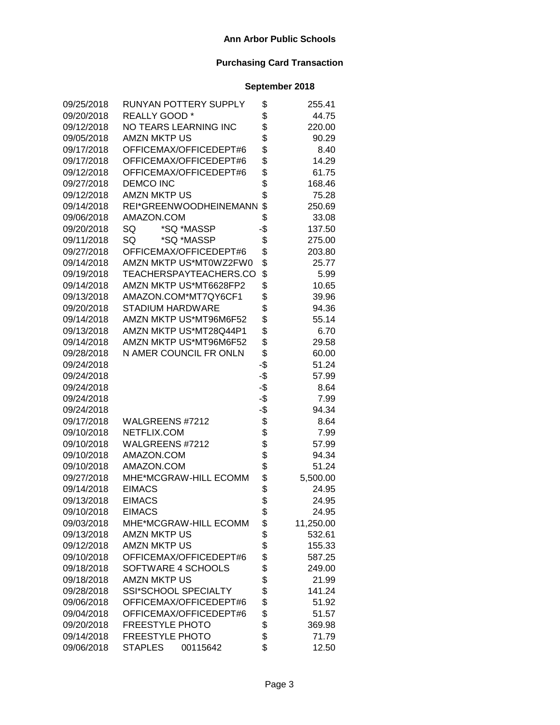| 09/25/2018 | RUNYAN POTTERY SUPPLY        | \$  | 255.41    |
|------------|------------------------------|-----|-----------|
| 09/20/2018 | REALLY GOOD*                 | \$  | 44.75     |
| 09/12/2018 | NO TEARS LEARNING INC        | \$  | 220.00    |
| 09/05/2018 | <b>AMZN MKTP US</b>          | \$  | 90.29     |
| 09/17/2018 | OFFICEMAX/OFFICEDEPT#6       | \$  | 8.40      |
| 09/17/2018 | OFFICEMAX/OFFICEDEPT#6       | \$  | 14.29     |
| 09/12/2018 | OFFICEMAX/OFFICEDEPT#6       | \$  | 61.75     |
| 09/27/2018 | <b>DEMCO INC</b>             | \$  | 168.46    |
| 09/12/2018 | <b>AMZN MKTP US</b>          | \$  | 75.28     |
| 09/14/2018 | REI*GREENWOODHEINEMANN       | \$  | 250.69    |
| 09/06/2018 | AMAZON.COM                   | \$  | 33.08     |
| 09/20/2018 | *SQ *MASSP<br>SQ             | -\$ | 137.50    |
| 09/11/2018 | SQ<br>*SQ *MASSP             | \$  | 275.00    |
| 09/27/2018 | OFFICEMAX/OFFICEDEPT#6       | \$  | 203.80    |
| 09/14/2018 | AMZN MKTP US*MT0WZ2FW0       | \$  | 25.77     |
| 09/19/2018 | TEACHERSPAYTEACHERS.CO       | \$  | 5.99      |
| 09/14/2018 | AMZN MKTP US*MT6628FP2       | \$  | 10.65     |
| 09/13/2018 | AMAZON.COM*MT7QY6CF1         | \$  | 39.96     |
| 09/20/2018 | <b>STADIUM HARDWARE</b>      | \$  | 94.36     |
| 09/14/2018 | AMZN MKTP US*MT96M6F52       | \$  | 55.14     |
| 09/13/2018 | AMZN MKTP US*MT28Q44P1       | \$  | 6.70      |
| 09/14/2018 | AMZN MKTP US*MT96M6F52       | \$  | 29.58     |
| 09/28/2018 | N AMER COUNCIL FR ONLN       | \$  | 60.00     |
| 09/24/2018 |                              | -\$ | 51.24     |
| 09/24/2018 |                              | -\$ | 57.99     |
| 09/24/2018 |                              | -\$ | 8.64      |
| 09/24/2018 |                              | -\$ | 7.99      |
| 09/24/2018 |                              | -\$ | 94.34     |
| 09/17/2018 | WALGREENS #7212              | \$  | 8.64      |
| 09/10/2018 | NETFLIX.COM                  | \$  | 7.99      |
| 09/10/2018 | WALGREENS #7212              | \$  | 57.99     |
| 09/10/2018 | AMAZON.COM                   | \$  | 94.34     |
| 09/10/2018 | AMAZON.COM                   | \$  | 51.24     |
| 09/27/2018 | MHE*MCGRAW-HILL ECOMM        | \$  | 5,500.00  |
| 09/14/2018 | <b>EIMACS</b>                | \$  | 24.95     |
| 09/13/2018 | <b>EIMACS</b>                | \$  | 24.95     |
| 09/10/2018 | <b>EIMACS</b>                | Φ   | 24.95     |
| 09/03/2018 | <b>MHE*MCGRAW-HILL ECOMM</b> | \$  | 11,250.00 |
| 09/13/2018 | <b>AMZN MKTP US</b>          | \$  | 532.61    |
| 09/12/2018 | <b>AMZN MKTP US</b>          | \$  | 155.33    |
| 09/10/2018 | OFFICEMAX/OFFICEDEPT#6       | \$  | 587.25    |
| 09/18/2018 | SOFTWARE 4 SCHOOLS           | \$  | 249.00    |
| 09/18/2018 | <b>AMZN MKTP US</b>          | \$  | 21.99     |
| 09/28/2018 | SSI*SCHOOL SPECIALTY         | \$  | 141.24    |
| 09/06/2018 | OFFICEMAX/OFFICEDEPT#6       | \$  | 51.92     |
| 09/04/2018 | OFFICEMAX/OFFICEDEPT#6       | \$  | 51.57     |
| 09/20/2018 | <b>FREESTYLE PHOTO</b>       | \$  | 369.98    |
| 09/14/2018 | <b>FREESTYLE PHOTO</b>       | \$  | 71.79     |
| 09/06/2018 | <b>STAPLES</b><br>00115642   | \$  | 12.50     |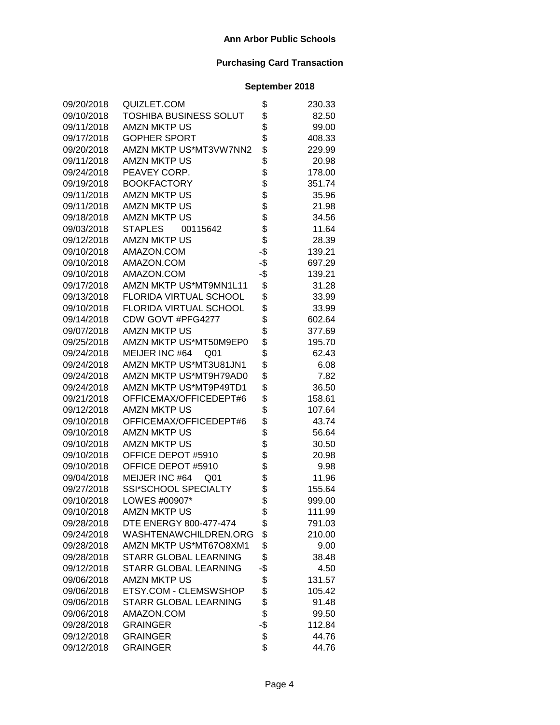| 09/20/2018 | QUIZLET.COM                       | \$  | 230.33 |
|------------|-----------------------------------|-----|--------|
| 09/10/2018 | TOSHIBA BUSINESS SOLUT            | \$  | 82.50  |
| 09/11/2018 | <b>AMZN MKTP US</b>               | \$  | 99.00  |
| 09/17/2018 | <b>GOPHER SPORT</b>               | \$  | 408.33 |
| 09/20/2018 | AMZN MKTP US*MT3VW7NN2            | \$  | 229.99 |
| 09/11/2018 | <b>AMZN MKTP US</b>               | \$  | 20.98  |
| 09/24/2018 | PEAVEY CORP.                      | \$  | 178.00 |
| 09/19/2018 | <b>BOOKFACTORY</b>                | \$  | 351.74 |
| 09/11/2018 | <b>AMZN MKTP US</b>               | \$  | 35.96  |
| 09/11/2018 | <b>AMZN MKTP US</b>               | \$  | 21.98  |
| 09/18/2018 | <b>AMZN MKTP US</b>               | \$  | 34.56  |
| 09/03/2018 | <b>STAPLES</b><br>00115642        | \$  | 11.64  |
| 09/12/2018 | <b>AMZN MKTP US</b>               | \$  | 28.39  |
| 09/10/2018 | AMAZON.COM                        | -\$ | 139.21 |
| 09/10/2018 | AMAZON.COM                        | -\$ | 697.29 |
| 09/10/2018 | AMAZON.COM                        | -\$ | 139.21 |
| 09/17/2018 | AMZN MKTP US*MT9MN1L11            | \$  | 31.28  |
| 09/13/2018 | FLORIDA VIRTUAL SCHOOL            | \$  | 33.99  |
| 09/10/2018 | FLORIDA VIRTUAL SCHOOL            | \$  | 33.99  |
| 09/14/2018 | CDW GOVT #PFG4277                 | \$  | 602.64 |
| 09/07/2018 | <b>AMZN MKTP US</b>               | \$  | 377.69 |
| 09/25/2018 | AMZN MKTP US*MT50M9EP0            | \$  | 195.70 |
| 09/24/2018 | MEIJER INC #64<br>Q01             | \$  | 62.43  |
| 09/24/2018 | AMZN MKTP US*MT3U81JN1            | \$  | 6.08   |
| 09/24/2018 | AMZN MKTP US*MT9H79AD0            | \$  | 7.82   |
| 09/24/2018 | AMZN MKTP US*MT9P49TD1            | \$  | 36.50  |
| 09/21/2018 | OFFICEMAX/OFFICEDEPT#6            | \$  | 158.61 |
| 09/12/2018 | <b>AMZN MKTP US</b>               | \$  | 107.64 |
| 09/10/2018 | OFFICEMAX/OFFICEDEPT#6            | \$  | 43.74  |
| 09/10/2018 | <b>AMZN MKTP US</b>               | \$  | 56.64  |
| 09/10/2018 | <b>AMZN MKTP US</b>               | \$  | 30.50  |
| 09/10/2018 | OFFICE DEPOT #5910                | \$  | 20.98  |
| 09/10/2018 | OFFICE DEPOT #5910                | \$  | 9.98   |
| 09/04/2018 | MEIJER INC #64<br>Q <sub>01</sub> | \$  | 11.96  |
| 09/27/2018 | SSI*SCHOOL SPECIALTY              | \$  | 155.64 |
| 09/10/2018 | LOWES #00907*                     | \$  | 999.00 |
| 09/10/2018 | AMZN MKTP US                      | \$  | 111.99 |
| 09/28/2018 | DTE ENERGY 800-477-474            | \$  | 791.03 |
| 09/24/2018 | WASHTENAWCHILDREN.ORG             | \$  | 210.00 |
| 09/28/2018 | AMZN MKTP US*MT67O8XM1            | \$  | 9.00   |
| 09/28/2018 | STARR GLOBAL LEARNING             | \$  | 38.48  |
| 09/12/2018 | STARR GLOBAL LEARNING             | -\$ | 4.50   |
| 09/06/2018 | <b>AMZN MKTP US</b>               | \$  | 131.57 |
| 09/06/2018 | ETSY.COM - CLEMSWSHOP             | \$  | 105.42 |
| 09/06/2018 | STARR GLOBAL LEARNING             | \$  | 91.48  |
| 09/06/2018 | AMAZON.COM                        | \$  | 99.50  |
| 09/28/2018 | <b>GRAINGER</b>                   | -\$ | 112.84 |
| 09/12/2018 | <b>GRAINGER</b>                   | \$  | 44.76  |
| 09/12/2018 | <b>GRAINGER</b>                   | \$  | 44.76  |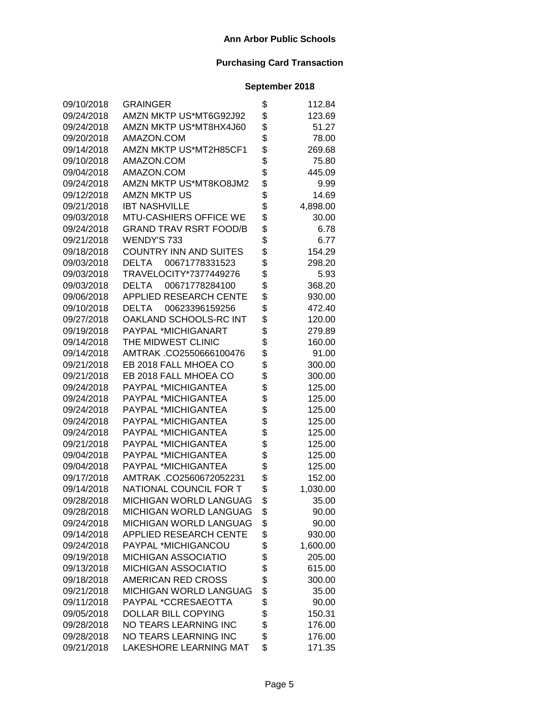| 09/10/2018 | GRAINGER                       | \$<br>112.84   |
|------------|--------------------------------|----------------|
| 09/24/2018 | AMZN MKTP US*MT6G92J92         | \$<br>123.69   |
| 09/24/2018 | AMZN MKTP US*MT8HX4J60         | \$<br>51.27    |
| 09/20/2018 | AMAZON.COM                     | \$<br>78.00    |
| 09/14/2018 | AMZN MKTP US*MT2H85CF1         | \$<br>269.68   |
| 09/10/2018 | AMAZON.COM                     | \$<br>75.80    |
| 09/04/2018 | AMAZON.COM                     | \$<br>445.09   |
| 09/24/2018 | AMZN MKTP US*MT8KO8JM2         | \$<br>9.99     |
| 09/12/2018 | <b>AMZN MKTP US</b>            | \$<br>14.69    |
| 09/21/2018 | <b>IBT NASHVILLE</b>           | \$<br>4,898.00 |
| 09/03/2018 | MTU-CASHIERS OFFICE WE         | \$<br>30.00    |
| 09/24/2018 | <b>GRAND TRAV RSRT FOOD/B</b>  | \$<br>6.78     |
| 09/21/2018 | WENDY'S 733                    | \$<br>6.77     |
| 09/18/2018 | <b>COUNTRY INN AND SUITES</b>  | \$<br>154.29   |
| 09/03/2018 | 00671778331523<br><b>DELTA</b> | \$<br>298.20   |
| 09/03/2018 | TRAVELOCITY*7377449276         | \$<br>5.93     |
| 09/03/2018 | 00671778284100<br><b>DELTA</b> | \$<br>368.20   |
| 09/06/2018 | <b>APPLIED RESEARCH CENTE</b>  | \$<br>930.00   |
| 09/10/2018 | DELTA<br>00623396159256        | \$<br>472.40   |
| 09/27/2018 | OAKLAND SCHOOLS-RC INT         | \$<br>120.00   |
| 09/19/2018 | PAYPAL *MICHIGANART            | \$<br>279.89   |
| 09/14/2018 | THE MIDWEST CLINIC             | \$<br>160.00   |
| 09/14/2018 | AMTRAK.CO2550666100476         | \$<br>91.00    |
| 09/21/2018 | EB 2018 FALL MHOEA CO          | \$<br>300.00   |
| 09/21/2018 | EB 2018 FALL MHOEA CO          | \$<br>300.00   |
| 09/24/2018 | PAYPAL *MICHIGANTEA            | \$<br>125.00   |
| 09/24/2018 | PAYPAL *MICHIGANTEA            | \$<br>125.00   |
| 09/24/2018 | PAYPAL *MICHIGANTEA            | \$<br>125.00   |
| 09/24/2018 | PAYPAL *MICHIGANTEA            | \$<br>125.00   |
| 09/24/2018 | PAYPAL *MICHIGANTEA            | \$<br>125.00   |
| 09/21/2018 | PAYPAL *MICHIGANTEA            | \$<br>125.00   |
| 09/04/2018 | PAYPAL *MICHIGANTEA            | \$<br>125.00   |
| 09/04/2018 | PAYPAL *MICHIGANTEA            | \$<br>125.00   |
| 09/17/2018 | AMTRAK .CO2560672052231        | \$<br>152.00   |
| 09/14/2018 | NATIONAL COUNCIL FOR T         | \$<br>1,030.00 |
| 09/28/2018 | <b>MICHIGAN WORLD LANGUAG</b>  | \$<br>35.00    |
| 09/28/2018 | MICHIGAN WORLD LANGUAG         | \$<br>90.00    |
| 09/24/2018 | <b>MICHIGAN WORLD LANGUAG</b>  | \$<br>90.00    |
| 09/14/2018 | APPLIED RESEARCH CENTE         | \$<br>930.00   |
| 09/24/2018 | PAYPAL *MICHIGANCOU            | \$<br>1,600.00 |
| 09/19/2018 | <b>MICHIGAN ASSOCIATIO</b>     | \$<br>205.00   |
| 09/13/2018 | <b>MICHIGAN ASSOCIATIO</b>     | \$<br>615.00   |
| 09/18/2018 | AMERICAN RED CROSS             | \$<br>300.00   |
| 09/21/2018 | <b>MICHIGAN WORLD LANGUAG</b>  | \$<br>35.00    |
| 09/11/2018 | PAYPAL *CCRESAEOTTA            | \$<br>90.00    |
| 09/05/2018 | <b>DOLLAR BILL COPYING</b>     | \$<br>150.31   |
| 09/28/2018 | NO TEARS LEARNING INC          | \$<br>176.00   |
| 09/28/2018 | NO TEARS LEARNING INC          | \$<br>176.00   |
| 09/21/2018 | LAKESHORE LEARNING MAT         | \$<br>171.35   |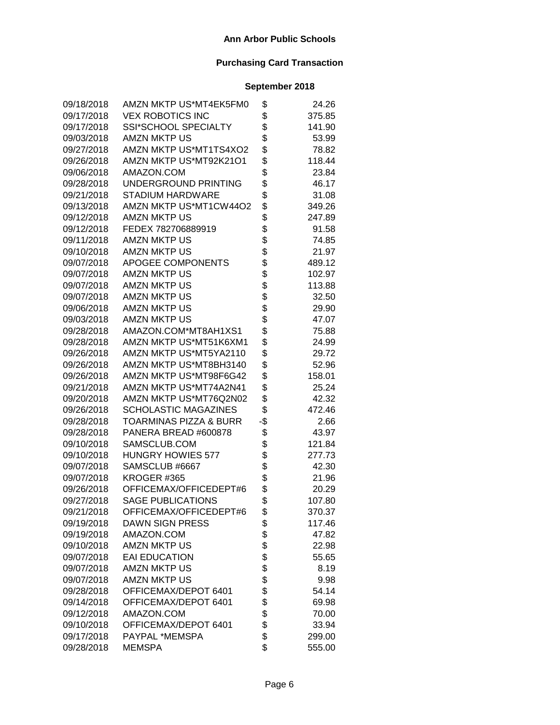| 09/18/2018 | AMZN MKTP US*MT4EK5FM0            | \$  | 24.26  |
|------------|-----------------------------------|-----|--------|
| 09/17/2018 | <b>VEX ROBOTICS INC</b>           | \$  | 375.85 |
| 09/17/2018 | SSI*SCHOOL SPECIALTY              | \$  | 141.90 |
| 09/03/2018 | <b>AMZN MKTP US</b>               | \$  | 53.99  |
| 09/27/2018 | AMZN MKTP US*MT1TS4XO2            | \$  | 78.82  |
| 09/26/2018 | AMZN MKTP US*MT92K21O1            | \$  | 118.44 |
| 09/06/2018 | AMAZON.COM                        | \$  | 23.84  |
| 09/28/2018 | UNDERGROUND PRINTING              | \$  | 46.17  |
| 09/21/2018 | <b>STADIUM HARDWARE</b>           | \$  | 31.08  |
| 09/13/2018 | AMZN MKTP US*MT1CW44O2            | \$  | 349.26 |
| 09/12/2018 | <b>AMZN MKTP US</b>               | \$  | 247.89 |
| 09/12/2018 | FEDEX 782706889919                | \$  | 91.58  |
| 09/11/2018 | <b>AMZN MKTP US</b>               | \$  | 74.85  |
| 09/10/2018 | <b>AMZN MKTP US</b>               | \$  | 21.97  |
| 09/07/2018 | APOGEE COMPONENTS                 | \$  | 489.12 |
| 09/07/2018 | <b>AMZN MKTP US</b>               | \$  | 102.97 |
| 09/07/2018 | <b>AMZN MKTP US</b>               | \$  | 113.88 |
| 09/07/2018 | <b>AMZN MKTP US</b>               | \$  | 32.50  |
| 09/06/2018 | <b>AMZN MKTP US</b>               | \$  | 29.90  |
| 09/03/2018 | <b>AMZN MKTP US</b>               | \$  | 47.07  |
| 09/28/2018 | AMAZON.COM*MT8AH1XS1              | \$  | 75.88  |
| 09/28/2018 | AMZN MKTP US*MT51K6XM1            | \$  | 24.99  |
| 09/26/2018 | AMZN MKTP US*MT5YA2110            | \$  | 29.72  |
| 09/26/2018 | AMZN MKTP US*MT8BH3140            | \$  | 52.96  |
| 09/26/2018 | AMZN MKTP US*MT98F6G42            | \$  | 158.01 |
| 09/21/2018 | AMZN MKTP US*MT74A2N41            | \$  | 25.24  |
| 09/20/2018 | AMZN MKTP US*MT76Q2N02            | \$  | 42.32  |
| 09/26/2018 | <b>SCHOLASTIC MAGAZINES</b>       | \$  | 472.46 |
| 09/28/2018 | <b>TOARMINAS PIZZA &amp; BURR</b> | -\$ | 2.66   |
| 09/28/2018 | PANERA BREAD #600878              | \$  | 43.97  |
| 09/10/2018 | SAMSCLUB.COM                      | \$  | 121.84 |
| 09/10/2018 | <b>HUNGRY HOWIES 577</b>          | \$  | 277.73 |
| 09/07/2018 | SAMSCLUB #6667                    | \$  | 42.30  |
| 09/07/2018 | KROGER #365                       | \$  | 21.96  |
| 09/26/2018 | OFFICEMAX/OFFICEDEPT#6            | \$  | 20.29  |
| 09/27/2018 | <b>SAGE PUBLICATIONS</b>          | \$  | 107.80 |
| 09/21/2018 | OFFICEMAX/OFFICEDEPT#6            | \$  | 370.37 |
| 09/19/2018 | <b>DAWN SIGN PRESS</b>            | \$  | 117.46 |
| 09/19/2018 | AMAZON.COM                        | \$  | 47.82  |
| 09/10/2018 | <b>AMZN MKTP US</b>               | \$  | 22.98  |
| 09/07/2018 | <b>EAI EDUCATION</b>              | \$  | 55.65  |
| 09/07/2018 | <b>AMZN MKTP US</b>               | \$  | 8.19   |
| 09/07/2018 | <b>AMZN MKTP US</b>               | \$  | 9.98   |
| 09/28/2018 | OFFICEMAX/DEPOT 6401              | \$  | 54.14  |
| 09/14/2018 | OFFICEMAX/DEPOT 6401              | \$  | 69.98  |
| 09/12/2018 | AMAZON.COM                        | \$  | 70.00  |
| 09/10/2018 | OFFICEMAX/DEPOT 6401              | \$  | 33.94  |
| 09/17/2018 | PAYPAL *MEMSPA                    | \$  | 299.00 |
| 09/28/2018 | <b>MEMSPA</b>                     | \$  | 555.00 |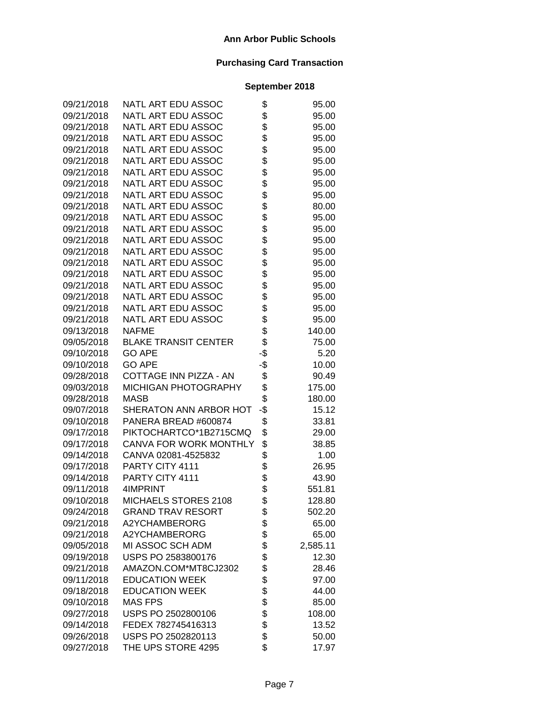| 09/21/2018 | NATL ART EDU ASSOC          | \$  | 95.00    |
|------------|-----------------------------|-----|----------|
| 09/21/2018 | NATL ART EDU ASSOC          | \$  | 95.00    |
| 09/21/2018 | NATL ART EDU ASSOC          | \$  | 95.00    |
| 09/21/2018 | NATL ART EDU ASSOC          | \$  | 95.00    |
| 09/21/2018 | NATL ART EDU ASSOC          | \$  | 95.00    |
| 09/21/2018 | NATL ART EDU ASSOC          | \$  | 95.00    |
| 09/21/2018 | NATL ART EDU ASSOC          | \$  | 95.00    |
| 09/21/2018 | NATL ART EDU ASSOC          | \$  | 95.00    |
| 09/21/2018 | NATL ART EDU ASSOC          | \$  | 95.00    |
| 09/21/2018 | NATL ART EDU ASSOC          | \$  | 80.00    |
| 09/21/2018 | NATL ART EDU ASSOC          | \$  | 95.00    |
| 09/21/2018 | NATL ART EDU ASSOC          | \$  | 95.00    |
| 09/21/2018 | NATL ART EDU ASSOC          | \$  | 95.00    |
| 09/21/2018 | NATL ART EDU ASSOC          | \$  | 95.00    |
| 09/21/2018 | NATL ART EDU ASSOC          | \$  | 95.00    |
| 09/21/2018 | NATL ART EDU ASSOC          | \$  | 95.00    |
| 09/21/2018 | NATL ART EDU ASSOC          | \$  | 95.00    |
| 09/21/2018 | NATL ART EDU ASSOC          | \$  | 95.00    |
| 09/21/2018 | NATL ART EDU ASSOC          | \$  | 95.00    |
| 09/21/2018 | NATL ART EDU ASSOC          | \$  | 95.00    |
| 09/13/2018 | <b>NAFME</b>                | \$  | 140.00   |
| 09/05/2018 | <b>BLAKE TRANSIT CENTER</b> | \$  | 75.00    |
| 09/10/2018 | <b>GO APE</b>               | -\$ | 5.20     |
| 09/10/2018 | <b>GO APE</b>               | -\$ | 10.00    |
| 09/28/2018 | COTTAGE INN PIZZA - AN      | \$  | 90.49    |
| 09/03/2018 | MICHIGAN PHOTOGRAPHY        | \$  | 175.00   |
| 09/28/2018 | <b>MASB</b>                 | \$  | 180.00   |
| 09/07/2018 | SHERATON ANN ARBOR HOT      | -\$ | 15.12    |
| 09/10/2018 | PANERA BREAD #600874        | \$  | 33.81    |
| 09/17/2018 | PIKTOCHARTCO*1B2715CMQ      | \$  | 29.00    |
| 09/17/2018 | CANVA FOR WORK MONTHLY      | \$  | 38.85    |
| 09/14/2018 | CANVA 02081-4525832         | \$  | 1.00     |
| 09/17/2018 | PARTY CITY 4111             | \$  | 26.95    |
| 09/14/2018 | PARTY CITY 4111             | \$  | 43.90    |
| 09/11/2018 | 4IMPRINT                    | \$  | 551.81   |
| 09/10/2018 | MICHAELS STORES 2108        | \$  | 128.80   |
| 09/24/2018 | <b>GRAND TRAV RESORT</b>    | \$  | 502.20   |
| 09/21/2018 | A2YCHAMBERORG               | \$  | 65.00    |
| 09/21/2018 | A2YCHAMBERORG               | \$  | 65.00    |
| 09/05/2018 | MI ASSOC SCH ADM            | \$  | 2,585.11 |
| 09/19/2018 | USPS PO 2583800176          | \$  | 12.30    |
| 09/21/2018 | AMAZON.COM*MT8CJ2302        | \$  | 28.46    |
| 09/11/2018 | <b>EDUCATION WEEK</b>       | \$  | 97.00    |
| 09/18/2018 | <b>EDUCATION WEEK</b>       | \$  | 44.00    |
| 09/10/2018 | <b>MAS FPS</b>              | \$  | 85.00    |
| 09/27/2018 | USPS PO 2502800106          | \$  | 108.00   |
| 09/14/2018 | FEDEX 782745416313          | \$  | 13.52    |
| 09/26/2018 | USPS PO 2502820113          | \$  | 50.00    |
| 09/27/2018 | THE UPS STORE 4295          | \$  | 17.97    |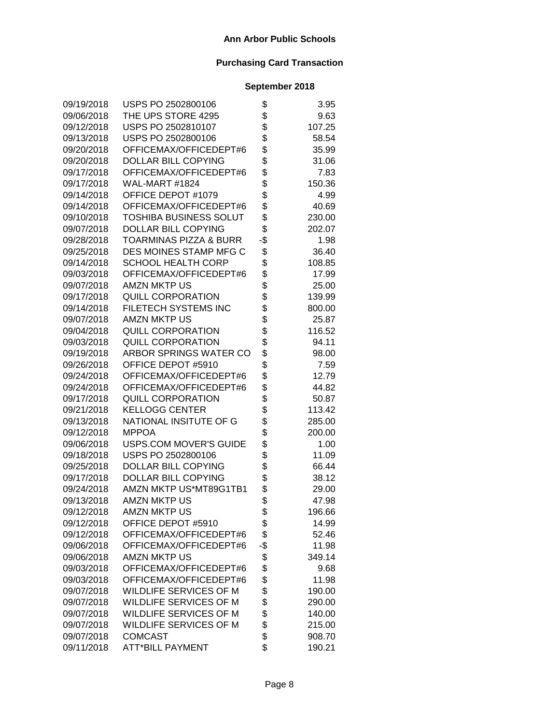| 09/19/2018 | USPS PO 2502800106            | \$  | 3.95   |
|------------|-------------------------------|-----|--------|
| 09/06/2018 | THE UPS STORE 4295            | \$  | 9.63   |
| 09/12/2018 | USPS PO 2502810107            | \$  | 107.25 |
| 09/13/2018 | USPS PO 2502800106            | \$  | 58.54  |
| 09/20/2018 | OFFICEMAX/OFFICEDEPT#6        | \$  | 35.99  |
| 09/20/2018 | DOLLAR BILL COPYING           | \$  | 31.06  |
| 09/17/2018 | OFFICEMAX/OFFICEDEPT#6        | \$  | 7.83   |
| 09/17/2018 | WAL-MART #1824                | \$  | 150.36 |
| 09/14/2018 | OFFICE DEPOT #1079            | \$  | 4.99   |
| 09/14/2018 | OFFICEMAX/OFFICEDEPT#6        | \$  | 40.69  |
| 09/10/2018 | <b>TOSHIBA BUSINESS SOLUT</b> | \$  | 230.00 |
| 09/07/2018 | <b>DOLLAR BILL COPYING</b>    | \$  | 202.07 |
| 09/28/2018 | TOARMINAS PIZZA & BURR        | -\$ | 1.98   |
| 09/25/2018 | DES MOINES STAMP MFG C        | \$  | 36.40  |
| 09/14/2018 | <b>SCHOOL HEALTH CORP</b>     | \$  | 108.85 |
| 09/03/2018 | OFFICEMAX/OFFICEDEPT#6        | \$  | 17.99  |
| 09/07/2018 | <b>AMZN MKTP US</b>           | \$  | 25.00  |
| 09/17/2018 | <b>QUILL CORPORATION</b>      | \$  | 139.99 |
| 09/14/2018 | <b>FILETECH SYSTEMS INC</b>   | \$  | 800.00 |
| 09/07/2018 | <b>AMZN MKTP US</b>           | \$  | 25.87  |
| 09/04/2018 | QUILL CORPORATION             | \$  | 116.52 |
| 09/03/2018 | <b>QUILL CORPORATION</b>      | \$  | 94.11  |
| 09/19/2018 | ARBOR SPRINGS WATER CO        | \$  | 98.00  |
| 09/26/2018 | OFFICE DEPOT #5910            | \$  | 7.59   |
| 09/24/2018 | OFFICEMAX/OFFICEDEPT#6        | \$  | 12.79  |
| 09/24/2018 | OFFICEMAX/OFFICEDEPT#6        | \$  | 44.82  |
| 09/17/2018 | <b>QUILL CORPORATION</b>      | \$  | 50.87  |
| 09/21/2018 | <b>KELLOGG CENTER</b>         | \$  | 113.42 |
| 09/13/2018 | NATIONAL INSITUTE OF G        | \$  | 285.00 |
| 09/12/2018 | <b>MPPOA</b>                  | \$  | 200.00 |
| 09/06/2018 | <b>USPS.COM MOVER'S GUIDE</b> | \$  | 1.00   |
| 09/18/2018 | USPS PO 2502800106            | \$  | 11.09  |
| 09/25/2018 | DOLLAR BILL COPYING           | \$  | 66.44  |
| 09/17/2018 | DOLLAR BILL COPYING           | \$  | 38.12  |
| 09/24/2018 | AMZN MKTP US*MT89G1TB1        | \$  | 29.00  |
| 09/13/2018 | <b>AMZN MKTP US</b>           | \$  | 47.98  |
| 09/12/2018 | <b>AMZN MKTP US</b>           | \$  | 196.66 |
| 09/12/2018 | OFFICE DEPOT #5910            | \$  | 14.99  |
| 09/12/2018 | OFFICEMAX/OFFICEDEPT#6        | \$  | 52.46  |
| 09/06/2018 | OFFICEMAX/OFFICEDEPT#6        | -\$ | 11.98  |
| 09/06/2018 | <b>AMZN MKTP US</b>           | \$  | 349.14 |
| 09/03/2018 | OFFICEMAX/OFFICEDEPT#6        | \$  | 9.68   |
| 09/03/2018 | OFFICEMAX/OFFICEDEPT#6        | \$  | 11.98  |
| 09/07/2018 | <b>WILDLIFE SERVICES OF M</b> | \$  | 190.00 |
| 09/07/2018 | <b>WILDLIFE SERVICES OF M</b> | \$  | 290.00 |
| 09/07/2018 | WILDLIFE SERVICES OF M        | \$  | 140.00 |
| 09/07/2018 | WILDLIFE SERVICES OF M        | \$  | 215.00 |
| 09/07/2018 | <b>COMCAST</b>                | \$  | 908.70 |
| 09/11/2018 | <b>ATT*BILL PAYMENT</b>       | \$  | 190.21 |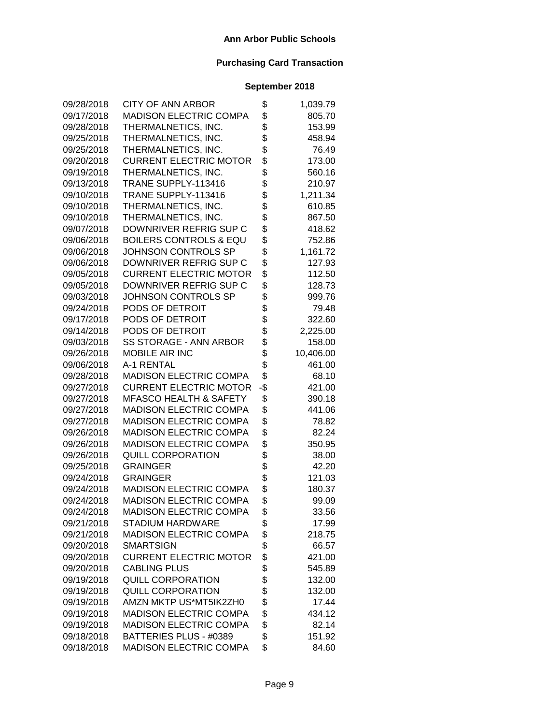| 09/28/2018 | <b>CITY OF ANN ARBOR</b>          | \$  | 1,039.79  |
|------------|-----------------------------------|-----|-----------|
| 09/17/2018 | <b>MADISON ELECTRIC COMPA</b>     | \$  | 805.70    |
| 09/28/2018 | THERMALNETICS, INC.               | \$  | 153.99    |
| 09/25/2018 | THERMALNETICS, INC.               | \$  | 458.94    |
| 09/25/2018 | THERMALNETICS, INC.               | \$  | 76.49     |
| 09/20/2018 | <b>CURRENT ELECTRIC MOTOR</b>     | \$  | 173.00    |
| 09/19/2018 | THERMALNETICS, INC.               | \$  | 560.16    |
| 09/13/2018 | TRANE SUPPLY-113416               | \$  | 210.97    |
| 09/10/2018 | TRANE SUPPLY-113416               | \$  | 1,211.34  |
| 09/10/2018 | THERMALNETICS, INC.               | \$  | 610.85    |
| 09/10/2018 | THERMALNETICS, INC.               | \$  | 867.50    |
| 09/07/2018 | DOWNRIVER REFRIG SUP C            | \$  | 418.62    |
| 09/06/2018 | <b>BOILERS CONTROLS &amp; EQU</b> | \$  | 752.86    |
| 09/06/2018 | JOHNSON CONTROLS SP               | \$  | 1,161.72  |
| 09/06/2018 | DOWNRIVER REFRIG SUP C            | \$  | 127.93    |
| 09/05/2018 | <b>CURRENT ELECTRIC MOTOR</b>     | \$  | 112.50    |
| 09/05/2018 | DOWNRIVER REFRIG SUP C            | \$  | 128.73    |
| 09/03/2018 | JOHNSON CONTROLS SP               | \$  | 999.76    |
| 09/24/2018 | PODS OF DETROIT                   | \$  | 79.48     |
| 09/17/2018 | PODS OF DETROIT                   | \$  | 322.60    |
| 09/14/2018 | PODS OF DETROIT                   | \$  | 2,225.00  |
| 09/03/2018 | SS STORAGE - ANN ARBOR            | \$  | 158.00    |
| 09/26/2018 | <b>MOBILE AIR INC</b>             | \$  | 10,406.00 |
| 09/06/2018 | A-1 RENTAL                        | \$  | 461.00    |
| 09/28/2018 | <b>MADISON ELECTRIC COMPA</b>     | \$  | 68.10     |
| 09/27/2018 | <b>CURRENT ELECTRIC MOTOR</b>     | -\$ | 421.00    |
| 09/27/2018 | <b>MFASCO HEALTH &amp; SAFETY</b> | \$  | 390.18    |
| 09/27/2018 | <b>MADISON ELECTRIC COMPA</b>     | \$  | 441.06    |
| 09/27/2018 | <b>MADISON ELECTRIC COMPA</b>     | \$  | 78.82     |
| 09/26/2018 | <b>MADISON ELECTRIC COMPA</b>     | \$  | 82.24     |
| 09/26/2018 | <b>MADISON ELECTRIC COMPA</b>     | \$  | 350.95    |
| 09/26/2018 | <b>QUILL CORPORATION</b>          | \$  | 38.00     |
| 09/25/2018 | <b>GRAINGER</b>                   | \$  | 42.20     |
| 09/24/2018 | <b>GRAINGER</b>                   | \$  | 121.03    |
| 09/24/2018 | <b>MADISON ELECTRIC COMPA</b>     | \$  | 180.37    |
| 09/24/2018 | <b>MADISON ELECTRIC COMPA</b>     | \$  | 99.09     |
| 09/24/2018 | MADISON ELECTRIC COMPA            | \$  | 33.56     |
| 09/21/2018 | <b>STADIUM HARDWARE</b>           | \$  | 17.99     |
| 09/21/2018 | <b>MADISON ELECTRIC COMPA</b>     | \$  | 218.75    |
| 09/20/2018 | <b>SMARTSIGN</b>                  | \$  | 66.57     |
| 09/20/2018 | <b>CURRENT ELECTRIC MOTOR</b>     | \$  | 421.00    |
| 09/20/2018 | <b>CABLING PLUS</b>               | \$  | 545.89    |
| 09/19/2018 | <b>QUILL CORPORATION</b>          | \$  | 132.00    |
| 09/19/2018 | <b>QUILL CORPORATION</b>          | \$  | 132.00    |
| 09/19/2018 | AMZN MKTP US*MT5IK2ZH0            | \$  | 17.44     |
| 09/19/2018 | <b>MADISON ELECTRIC COMPA</b>     | \$  | 434.12    |
| 09/19/2018 | <b>MADISON ELECTRIC COMPA</b>     | \$  | 82.14     |
| 09/18/2018 | BATTERIES PLUS - #0389            | \$  | 151.92    |
| 09/18/2018 | <b>MADISON ELECTRIC COMPA</b>     | \$  | 84.60     |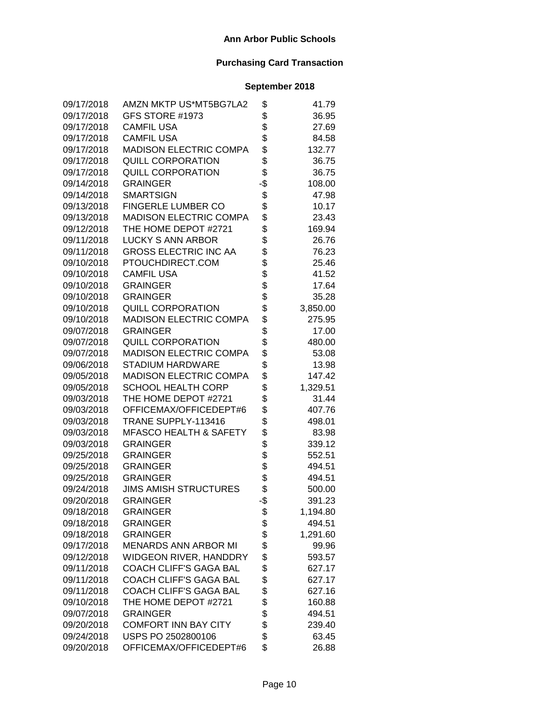| 09/17/2018 | AMZN MKTP US*MT5BG7LA2            | \$       | 41.79    |
|------------|-----------------------------------|----------|----------|
| 09/17/2018 | GFS STORE #1973                   | \$       | 36.95    |
| 09/17/2018 | <b>CAMFIL USA</b>                 | \$       | 27.69    |
| 09/17/2018 | <b>CAMFIL USA</b>                 | \$       | 84.58    |
| 09/17/2018 | <b>MADISON ELECTRIC COMPA</b>     | \$       | 132.77   |
| 09/17/2018 | <b>QUILL CORPORATION</b>          | \$       | 36.75    |
| 09/17/2018 | <b>QUILL CORPORATION</b>          | \$       | 36.75    |
| 09/14/2018 | <b>GRAINGER</b>                   | -\$      | 108.00   |
| 09/14/2018 | <b>SMARTSIGN</b>                  | \$       | 47.98    |
| 09/13/2018 | <b>FINGERLE LUMBER CO</b>         | \$       | 10.17    |
| 09/13/2018 | <b>MADISON ELECTRIC COMPA</b>     | \$       | 23.43    |
| 09/12/2018 | THE HOME DEPOT #2721              | \$       | 169.94   |
| 09/11/2018 | <b>LUCKY S ANN ARBOR</b>          | \$       | 26.76    |
| 09/11/2018 | <b>GROSS ELECTRIC INC AA</b>      | \$       | 76.23    |
| 09/10/2018 | PTOUCHDIRECT.COM                  | \$       | 25.46    |
| 09/10/2018 | <b>CAMFIL USA</b>                 | \$       | 41.52    |
| 09/10/2018 | <b>GRAINGER</b>                   | \$       | 17.64    |
| 09/10/2018 | <b>GRAINGER</b>                   | \$       | 35.28    |
| 09/10/2018 | <b>QUILL CORPORATION</b>          | \$       | 3,850.00 |
| 09/10/2018 | <b>MADISON ELECTRIC COMPA</b>     | \$       | 275.95   |
| 09/07/2018 | <b>GRAINGER</b>                   | \$       | 17.00    |
| 09/07/2018 | <b>QUILL CORPORATION</b>          | \$       | 480.00   |
| 09/07/2018 | <b>MADISON ELECTRIC COMPA</b>     | \$       | 53.08    |
| 09/06/2018 | <b>STADIUM HARDWARE</b>           | \$       | 13.98    |
| 09/05/2018 | <b>MADISON ELECTRIC COMPA</b>     | \$       | 147.42   |
| 09/05/2018 | <b>SCHOOL HEALTH CORP</b>         | \$       | 1,329.51 |
| 09/03/2018 | THE HOME DEPOT #2721              | \$       | 31.44    |
| 09/03/2018 | OFFICEMAX/OFFICEDEPT#6            | \$       | 407.76   |
| 09/03/2018 | TRANE SUPPLY-113416               | \$       | 498.01   |
| 09/03/2018 | <b>MFASCO HEALTH &amp; SAFETY</b> | \$       | 83.98    |
| 09/03/2018 | <b>GRAINGER</b>                   | \$       | 339.12   |
| 09/25/2018 | <b>GRAINGER</b>                   | \$       | 552.51   |
| 09/25/2018 | <b>GRAINGER</b>                   | \$       | 494.51   |
| 09/25/2018 | <b>GRAINGER</b>                   | \$       | 494.51   |
| 09/24/2018 | <b>JIMS AMISH STRUCTURES</b>      | \$       | 500.00   |
| 09/20/2018 | <b>GRAINGER</b>                   | -\$<br>ሖ | 391.23   |
| 09/18/2018 | <b>GRAINGER</b>                   | Φ        | 1,194.80 |
| 09/18/2018 | <b>GRAINGER</b>                   | \$       | 494.51   |
| 09/18/2018 | <b>GRAINGER</b>                   | \$       | 1,291.60 |
| 09/17/2018 | <b>MENARDS ANN ARBOR MI</b>       | \$       | 99.96    |
| 09/12/2018 | <b>WIDGEON RIVER, HANDDRY</b>     | \$       | 593.57   |
| 09/11/2018 | <b>COACH CLIFF'S GAGA BAL</b>     | \$       | 627.17   |
| 09/11/2018 | COACH CLIFF'S GAGA BAL            | \$       | 627.17   |
| 09/11/2018 | COACH CLIFF'S GAGA BAL            | \$       | 627.16   |
| 09/10/2018 | THE HOME DEPOT #2721              | \$       | 160.88   |
| 09/07/2018 | <b>GRAINGER</b>                   | \$       | 494.51   |
| 09/20/2018 | <b>COMFORT INN BAY CITY</b>       | \$       | 239.40   |
| 09/24/2018 | USPS PO 2502800106                | \$       | 63.45    |
| 09/20/2018 | OFFICEMAX/OFFICEDEPT#6            | \$       | 26.88    |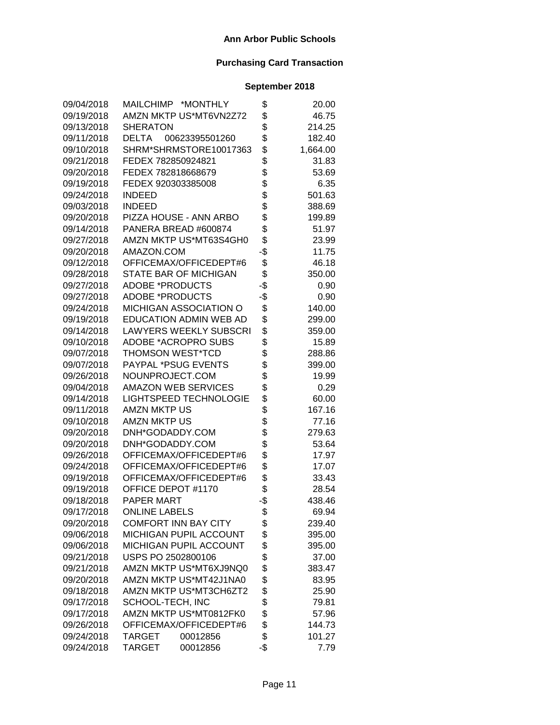| 09/04/2018 | MAILCHIMP *MONTHLY            | \$  | 20.00    |
|------------|-------------------------------|-----|----------|
| 09/19/2018 | AMZN MKTP US*MT6VN2Z72        | \$  | 46.75    |
| 09/13/2018 | <b>SHERATON</b>               | \$  | 214.25   |
| 09/11/2018 | DELTA<br>00623395501260       | \$  | 182.40   |
| 09/10/2018 | SHRM*SHRMSTORE10017363        | \$  | 1,664.00 |
| 09/21/2018 | FEDEX 782850924821            | \$  | 31.83    |
| 09/20/2018 | FEDEX 782818668679            | \$  | 53.69    |
| 09/19/2018 | FEDEX 920303385008            | \$  | 6.35     |
| 09/24/2018 | <b>INDEED</b>                 | \$  | 501.63   |
| 09/03/2018 | <b>INDEED</b>                 | \$  | 388.69   |
| 09/20/2018 | PIZZA HOUSE - ANN ARBO        | \$  | 199.89   |
| 09/14/2018 | PANERA BREAD #600874          | \$  | 51.97    |
| 09/27/2018 | AMZN MKTP US*MT63S4GH0        | \$  | 23.99    |
| 09/20/2018 | AMAZON.COM                    | -\$ | 11.75    |
| 09/12/2018 | OFFICEMAX/OFFICEDEPT#6        | \$  | 46.18    |
| 09/28/2018 | <b>STATE BAR OF MICHIGAN</b>  | \$  | 350.00   |
| 09/27/2018 | <b>ADOBE *PRODUCTS</b>        | -\$ | 0.90     |
| 09/27/2018 | <b>ADOBE *PRODUCTS</b>        | -\$ | 0.90     |
| 09/24/2018 | <b>MICHIGAN ASSOCIATION O</b> | \$  | 140.00   |
| 09/19/2018 | <b>EDUCATION ADMIN WEB AD</b> | \$  | 299.00   |
| 09/14/2018 | <b>LAWYERS WEEKLY SUBSCRI</b> | \$  | 359.00   |
| 09/10/2018 | <b>ADOBE *ACROPRO SUBS</b>    | \$  | 15.89    |
| 09/07/2018 | <b>THOMSON WEST*TCD</b>       | \$  | 288.86   |
| 09/07/2018 | <b>PAYPAL *PSUG EVENTS</b>    | \$  | 399.00   |
| 09/26/2018 | NOUNPROJECT.COM               | \$  | 19.99    |
| 09/04/2018 | <b>AMAZON WEB SERVICES</b>    | \$  | 0.29     |
| 09/14/2018 | <b>LIGHTSPEED TECHNOLOGIE</b> | \$  | 60.00    |
| 09/11/2018 | <b>AMZN MKTP US</b>           | \$  | 167.16   |
| 09/10/2018 | <b>AMZN MKTP US</b>           | \$  | 77.16    |
| 09/20/2018 | DNH*GODADDY.COM               | \$  | 279.63   |
| 09/20/2018 | DNH*GODADDY.COM               | \$  | 53.64    |
| 09/26/2018 | OFFICEMAX/OFFICEDEPT#6        | \$  | 17.97    |
| 09/24/2018 | OFFICEMAX/OFFICEDEPT#6        | \$  | 17.07    |
| 09/19/2018 | OFFICEMAX/OFFICEDEPT#6        | \$  | 33.43    |
| 09/19/2018 | OFFICE DEPOT #1170            | \$  | 28.54    |
| 09/18/2018 | <b>PAPER MART</b>             | -\$ | 438.46   |
| 09/17/2018 | <b>ONLINE LABELS</b>          | \$  | 69.94    |
| 09/20/2018 | <b>COMFORT INN BAY CITY</b>   | \$  | 239.40   |
| 09/06/2018 | MICHIGAN PUPIL ACCOUNT        | \$  | 395.00   |
| 09/06/2018 | <b>MICHIGAN PUPIL ACCOUNT</b> | \$  | 395.00   |
| 09/21/2018 | USPS PO 2502800106            | \$  | 37.00    |
| 09/21/2018 | AMZN MKTP US*MT6XJ9NQ0        | \$  | 383.47   |
| 09/20/2018 | AMZN MKTP US*MT42J1NA0        | \$  | 83.95    |
| 09/18/2018 | AMZN MKTP US*MT3CH6ZT2        | \$  | 25.90    |
| 09/17/2018 | SCHOOL-TECH, INC              | \$  | 79.81    |
| 09/17/2018 | AMZN MKTP US*MT0812FK0        | \$  | 57.96    |
| 09/26/2018 | OFFICEMAX/OFFICEDEPT#6        | \$  | 144.73   |
| 09/24/2018 | <b>TARGET</b><br>00012856     | \$  | 101.27   |
| 09/24/2018 | <b>TARGET</b><br>00012856     | -\$ | 7.79     |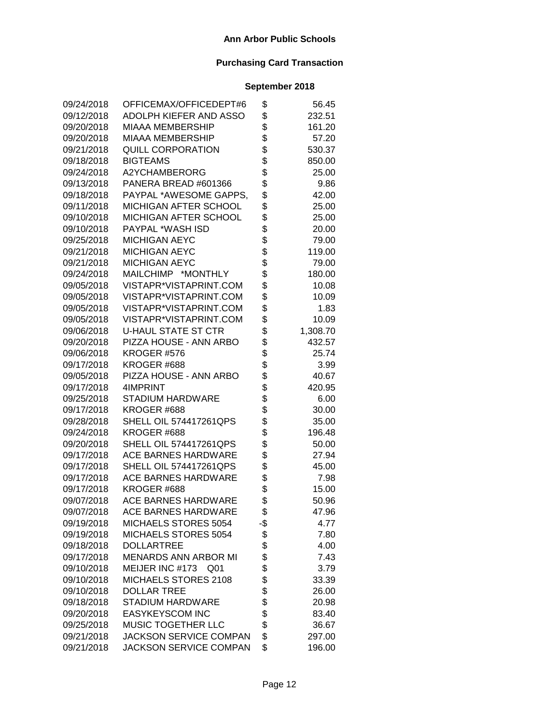| 09/24/2018 | OFFICEMAX/OFFICEDEPT#6             | \$       | 56.45    |
|------------|------------------------------------|----------|----------|
| 09/12/2018 | ADOLPH KIEFER AND ASSO             | \$       | 232.51   |
| 09/20/2018 | <b>MIAAA MEMBERSHIP</b>            | \$       | 161.20   |
| 09/20/2018 | <b>MIAAA MEMBERSHIP</b>            | \$       | 57.20    |
| 09/21/2018 | <b>QUILL CORPORATION</b>           | \$       | 530.37   |
| 09/18/2018 | <b>BIGTEAMS</b>                    | \$\$     | 850.00   |
| 09/24/2018 | A2YCHAMBERORG                      |          | 25.00    |
| 09/13/2018 | PANERA BREAD #601366               |          | 9.86     |
| 09/18/2018 | PAYPAL *AWESOME GAPPS,             | \$       | 42.00    |
| 09/11/2018 | MICHIGAN AFTER SCHOOL              | \$       | 25.00    |
| 09/10/2018 | MICHIGAN AFTER SCHOOL              | \$       | 25.00    |
| 09/10/2018 | PAYPAL *WASH ISD                   |          | 20.00    |
| 09/25/2018 | <b>MICHIGAN AEYC</b>               | \$\$\$   | 79.00    |
| 09/21/2018 | <b>MICHIGAN AEYC</b>               |          | 119.00   |
| 09/21/2018 | <b>MICHIGAN AEYC</b>               |          | 79.00    |
| 09/24/2018 | MAILCHIMP *MONTHLY                 | \$       | 180.00   |
| 09/05/2018 | VISTAPR*VISTAPRINT.COM             | \$       | 10.08    |
| 09/05/2018 | VISTAPR*VISTAPRINT.COM             | \$       | 10.09    |
| 09/05/2018 | VISTAPR*VISTAPRINT.COM             | \$       | 1.83     |
| 09/05/2018 | VISTAPR*VISTAPRINT.COM             | \$       | 10.09    |
| 09/06/2018 | <b>U-HAUL STATE ST CTR</b>         | \$       | 1,308.70 |
| 09/20/2018 | PIZZA HOUSE - ANN ARBO             | \$       | 432.57   |
| 09/06/2018 | KROGER #576                        |          | 25.74    |
| 09/17/2018 | KROGER #688                        | \$<br>\$ | 3.99     |
| 09/05/2018 | PIZZA HOUSE - ANN ARBO             |          | 40.67    |
| 09/17/2018 | 4IMPRINT                           | \$<br>\$ | 420.95   |
| 09/25/2018 | <b>STADIUM HARDWARE</b>            |          | 6.00     |
| 09/17/2018 | KROGER #688                        |          | 30.00    |
| 09/28/2018 | <b>SHELL OIL 574417261QPS</b>      | \$       | 35.00    |
| 09/24/2018 | KROGER #688                        | \$       | 196.48   |
| 09/20/2018 | <b>SHELL OIL 574417261QPS</b>      | \$       | 50.00    |
| 09/17/2018 | <b>ACE BARNES HARDWARE</b>         | \$       | 27.94    |
| 09/17/2018 | <b>SHELL OIL 574417261QPS</b>      | \$       | 45.00    |
| 09/17/2018 | <b>ACE BARNES HARDWARE</b>         | \$       | 7.98     |
| 09/17/2018 | KROGER #688                        | \$       | 15.00    |
| 09/07/2018 | <b>ACE BARNES HARDWARE</b>         | \$       | 50.96    |
| 09/07/2018 | ACE BARNES HARDWARE                | \$       | 47.96    |
| 09/19/2018 | MICHAELS STORES 5054               | -\$      | 4.77     |
| 09/19/2018 | MICHAELS STORES 5054               | \$       | 7.80     |
| 09/18/2018 | <b>DOLLARTREE</b>                  | \$       | 4.00     |
| 09/17/2018 | <b>MENARDS ANN ARBOR MI</b>        | \$       | 7.43     |
| 09/10/2018 | MEIJER INC #173<br>Q <sub>01</sub> | \$       | 3.79     |
| 09/10/2018 | MICHAELS STORES 2108               | \$       | 33.39    |
| 09/10/2018 | <b>DOLLAR TREE</b>                 | \$       | 26.00    |
| 09/18/2018 | <b>STADIUM HARDWARE</b>            | \$       | 20.98    |
| 09/20/2018 | <b>EASYKEYSCOM INC</b>             | \$       | 83.40    |
| 09/25/2018 | MUSIC TOGETHER LLC                 | \$       | 36.67    |
| 09/21/2018 | <b>JACKSON SERVICE COMPAN</b>      | \$       | 297.00   |
| 09/21/2018 | <b>JACKSON SERVICE COMPAN</b>      | \$       | 196.00   |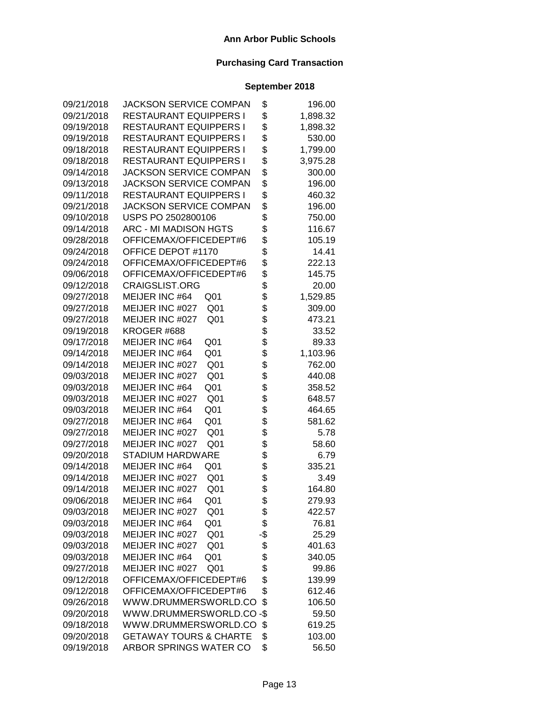| 09/21/2018 | <b>JACKSON SERVICE COMPAN</b>      | \$           | 196.00   |
|------------|------------------------------------|--------------|----------|
| 09/21/2018 | <b>RESTAURANT EQUIPPERS I</b>      | \$           | 1,898.32 |
| 09/19/2018 | <b>RESTAURANT EQUIPPERS I</b>      | \$           | 1,898.32 |
| 09/19/2018 | <b>RESTAURANT EQUIPPERS I</b>      | \$           | 530.00   |
| 09/18/2018 | <b>RESTAURANT EQUIPPERS I</b>      | \$           | 1,799.00 |
| 09/18/2018 | <b>RESTAURANT EQUIPPERS I</b>      | \$           | 3,975.28 |
| 09/14/2018 | <b>JACKSON SERVICE COMPAN</b>      | \$           | 300.00   |
| 09/13/2018 | <b>JACKSON SERVICE COMPAN</b>      | \$           | 196.00   |
| 09/11/2018 | <b>RESTAURANT EQUIPPERS I</b>      | \$           | 460.32   |
| 09/21/2018 | <b>JACKSON SERVICE COMPAN</b>      | \$           | 196.00   |
| 09/10/2018 | USPS PO 2502800106                 | \$           | 750.00   |
| 09/14/2018 | ARC - MI MADISON HGTS              | \$           | 116.67   |
| 09/28/2018 | OFFICEMAX/OFFICEDEPT#6             | \$           | 105.19   |
| 09/24/2018 | OFFICE DEPOT #1170                 | \$           | 14.41    |
| 09/24/2018 | OFFICEMAX/OFFICEDEPT#6             | \$           | 222.13   |
| 09/06/2018 | OFFICEMAX/OFFICEDEPT#6             | \$           | 145.75   |
| 09/12/2018 | <b>CRAIGSLIST.ORG</b>              | \$           | 20.00    |
| 09/27/2018 | MEIJER INC #64<br>Q <sub>01</sub>  | \$           | 1,529.85 |
| 09/27/2018 | MEIJER INC #027<br>Q <sub>01</sub> | \$           | 309.00   |
| 09/27/2018 | MEIJER INC #027<br>Q <sub>01</sub> | \$           | 473.21   |
| 09/19/2018 | KROGER #688                        | \$           | 33.52    |
| 09/17/2018 | MEIJER INC #64<br>Q <sub>01</sub>  | \$           | 89.33    |
| 09/14/2018 | Q <sub>01</sub><br>MEIJER INC #64  | \$           | 1,103.96 |
| 09/14/2018 | Q <sub>01</sub><br>MEIJER INC #027 | \$<br>\$     | 762.00   |
| 09/03/2018 | Q <sub>01</sub><br>MEIJER INC #027 |              | 440.08   |
| 09/03/2018 | Q01<br>MEIJER INC #64              | \$           | 358.52   |
| 09/03/2018 | Q <sub>01</sub><br>MEIJER INC #027 | \$           | 648.57   |
| 09/03/2018 | Q <sub>01</sub><br>MEIJER INC #64  | \$<br>\$     | 464.65   |
| 09/27/2018 | MEIJER INC #64<br>Q01              |              | 581.62   |
| 09/27/2018 | Q <sub>01</sub><br>MEIJER INC #027 | \$           | 5.78     |
| 09/27/2018 | MEIJER INC #027<br>Q <sub>01</sub> | \$           | 58.60    |
| 09/20/2018 | <b>STADIUM HARDWARE</b>            | \$           | 6.79     |
| 09/14/2018 | MEIJER INC #64<br>Q <sub>01</sub>  | \$           | 335.21   |
| 09/14/2018 | MEIJER INC #027<br>Q <sub>01</sub> | \$           | 3.49     |
| 09/14/2018 | MEIJER INC #027<br>Q <sub>01</sub> | \$           | 164.80   |
| 09/06/2018 | MEIJER INC #64<br>Q <sub>01</sub>  | \$           | 279.93   |
| 09/03/2018 | MEIJER INC #027<br>Q <sub>01</sub> | <b></b><br>Φ | 422.57   |
| 09/03/2018 | MEIJER INC #64<br>Q <sub>01</sub>  | \$           | 76.81    |
| 09/03/2018 | MEIJER INC #027<br>Q <sub>01</sub> | -\$          | 25.29    |
| 09/03/2018 | MEIJER INC #027<br>Q <sub>01</sub> | \$           | 401.63   |
| 09/03/2018 | MEIJER INC #64<br>Q <sub>01</sub>  | \$           | 340.05   |
| 09/27/2018 | MEIJER INC #027<br>Q <sub>01</sub> | \$           | 99.86    |
| 09/12/2018 | OFFICEMAX/OFFICEDEPT#6             | \$           | 139.99   |
| 09/12/2018 | OFFICEMAX/OFFICEDEPT#6             | \$           | 612.46   |
| 09/26/2018 | WWW.DRUMMERSWORLD.CO               | \$           | 106.50   |
| 09/20/2018 | WWW.DRUMMERSWORLD.CO-\$            |              | 59.50    |
| 09/18/2018 | WWW.DRUMMERSWORLD.CO               | \$           | 619.25   |
| 09/20/2018 | <b>GETAWAY TOURS &amp; CHARTE</b>  | \$           | 103.00   |
| 09/19/2018 | ARBOR SPRINGS WATER CO             | \$           | 56.50    |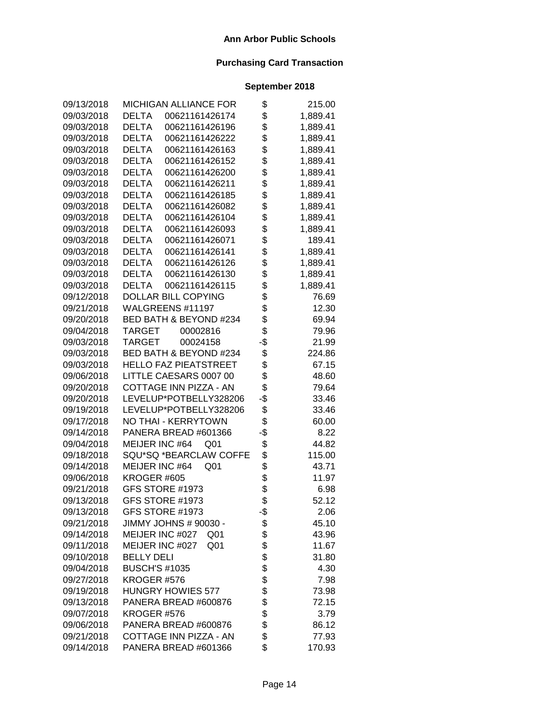| 09/13/2018 | <b>MICHIGAN ALLIANCE FOR</b>       | \$  | 215.00   |
|------------|------------------------------------|-----|----------|
| 09/03/2018 | <b>DELTA</b><br>00621161426174     | \$  | 1,889.41 |
| 09/03/2018 | <b>DELTA</b><br>00621161426196     | \$  | 1,889.41 |
| 09/03/2018 | <b>DELTA</b><br>00621161426222     | \$  | 1,889.41 |
| 09/03/2018 | <b>DELTA</b><br>00621161426163     | \$  | 1,889.41 |
| 09/03/2018 | <b>DELTA</b><br>00621161426152     | \$  | 1,889.41 |
| 09/03/2018 | <b>DELTA</b><br>00621161426200     | \$  | 1,889.41 |
| 09/03/2018 | <b>DELTA</b><br>00621161426211     | \$  | 1,889.41 |
| 09/03/2018 | <b>DELTA</b><br>00621161426185     | \$  | 1,889.41 |
| 09/03/2018 | <b>DELTA</b><br>00621161426082     | \$  | 1,889.41 |
| 09/03/2018 | <b>DELTA</b><br>00621161426104     | \$  | 1,889.41 |
| 09/03/2018 | <b>DELTA</b><br>00621161426093     | \$  | 1,889.41 |
| 09/03/2018 | <b>DELTA</b><br>00621161426071     | \$  | 189.41   |
| 09/03/2018 | <b>DELTA</b><br>00621161426141     | \$  | 1,889.41 |
| 09/03/2018 | <b>DELTA</b><br>00621161426126     | \$  | 1,889.41 |
| 09/03/2018 | <b>DELTA</b><br>00621161426130     | \$  | 1,889.41 |
| 09/03/2018 | DELTA<br>00621161426115            | \$  | 1,889.41 |
| 09/12/2018 | DOLLAR BILL COPYING                | \$  | 76.69    |
| 09/21/2018 | WALGREENS #11197                   | \$  | 12.30    |
| 09/20/2018 | BED BATH & BEYOND #234             | \$  | 69.94    |
| 09/04/2018 | <b>TARGET</b><br>00002816          | \$  | 79.96    |
| 09/03/2018 | <b>TARGET</b><br>00024158          | -\$ | 21.99    |
| 09/03/2018 | BED BATH & BEYOND #234             | \$  | 224.86   |
| 09/03/2018 | <b>HELLO FAZ PIEATSTREET</b>       | \$  | 67.15    |
| 09/06/2018 | LITTLE CAESARS 0007 00             | \$  | 48.60    |
| 09/20/2018 | COTTAGE INN PIZZA - AN             | \$  | 79.64    |
| 09/20/2018 | LEVELUP*POTBELLY328206             | -\$ | 33.46    |
| 09/19/2018 | LEVELUP*POTBELLY328206             | \$  | 33.46    |
| 09/17/2018 | NO THAI - KERRYTOWN                | \$  | 60.00    |
| 09/14/2018 | PANERA BREAD #601366               | -\$ | 8.22     |
| 09/04/2018 | MEIJER INC #64<br>Q <sub>01</sub>  | \$  | 44.82    |
| 09/18/2018 | SQU*SQ *BEARCLAW COFFE             | \$  | 115.00   |
| 09/14/2018 | MEIJER INC #64<br>Q <sub>01</sub>  | \$  | 43.71    |
| 09/06/2018 | KROGER #605                        | \$  | 11.97    |
| 09/21/2018 | GFS STORE #1973                    | \$  | 6.98     |
| 09/13/2018 | GFS STORE #1973                    | \$  | 52.12    |
| 09/13/2018 | GFS STORE #1973                    | -\$ | 2.06     |
| 09/21/2018 | JIMMY JOHNS # 90030 -              | \$  | 45.10    |
| 09/14/2018 | MEIJER INC #027<br>Q01             | \$  | 43.96    |
| 09/11/2018 | MEIJER INC #027<br>Q <sub>01</sub> | \$  | 11.67    |
| 09/10/2018 | <b>BELLY DELI</b>                  | \$  | 31.80    |
| 09/04/2018 | <b>BUSCH'S #1035</b>               | \$  | 4.30     |
| 09/27/2018 | KROGER #576                        | \$  | 7.98     |
| 09/19/2018 | <b>HUNGRY HOWIES 577</b>           | \$  | 73.98    |
| 09/13/2018 | PANERA BREAD #600876               | \$  | 72.15    |
| 09/07/2018 | KROGER #576                        | \$  | 3.79     |
| 09/06/2018 | PANERA BREAD #600876               | \$  | 86.12    |
| 09/21/2018 | COTTAGE INN PIZZA - AN             | \$  | 77.93    |
| 09/14/2018 | PANERA BREAD #601366               | \$  | 170.93   |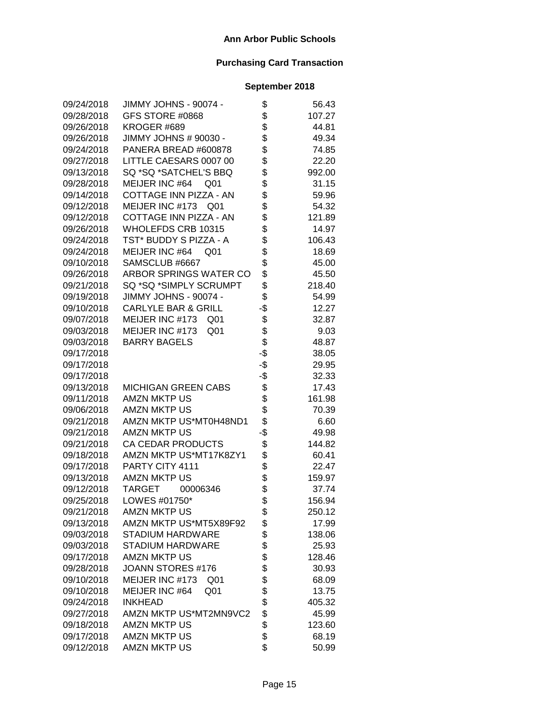| 09/24/2018 | JIMMY JOHNS - 90074 -              | \$  | 56.43  |
|------------|------------------------------------|-----|--------|
| 09/28/2018 | GFS STORE #0868                    | \$  | 107.27 |
| 09/26/2018 | KROGER #689                        | \$  | 44.81  |
| 09/26/2018 | JIMMY JOHNS # 90030 -              | \$  | 49.34  |
| 09/24/2018 | PANERA BREAD #600878               | \$  | 74.85  |
| 09/27/2018 | LITTLE CAESARS 0007 00             | \$  | 22.20  |
| 09/13/2018 | SQ *SQ *SATCHEL'S BBQ              | \$  | 992.00 |
| 09/28/2018 | MEIJER INC #64<br>Q01              | \$  | 31.15  |
| 09/14/2018 | COTTAGE INN PIZZA - AN             | \$  | 59.96  |
| 09/12/2018 | MEIJER INC #173<br>Q <sub>01</sub> | \$  | 54.32  |
| 09/12/2018 | COTTAGE INN PIZZA - AN             | \$  | 121.89 |
| 09/26/2018 | WHOLEFDS CRB 10315                 | \$  | 14.97  |
| 09/24/2018 | TST* BUDDY S PIZZA - A             | \$  | 106.43 |
| 09/24/2018 | MEIJER INC #64<br>Q01              | \$  | 18.69  |
| 09/10/2018 | SAMSCLUB #6667                     | \$  | 45.00  |
| 09/26/2018 | ARBOR SPRINGS WATER CO             | \$  | 45.50  |
| 09/21/2018 | SQ *SQ *SIMPLY SCRUMPT             | \$  | 218.40 |
| 09/19/2018 | JIMMY JOHNS - 90074 -              | \$  | 54.99  |
| 09/10/2018 | <b>CARLYLE BAR &amp; GRILL</b>     | -\$ | 12.27  |
| 09/07/2018 | MEIJER INC #173<br>Q <sub>01</sub> | \$  | 32.87  |
| 09/03/2018 | MEIJER INC #173<br>Q <sub>01</sub> | \$  | 9.03   |
| 09/03/2018 | <b>BARRY BAGELS</b>                | \$  | 48.87  |
| 09/17/2018 |                                    | -\$ | 38.05  |
| 09/17/2018 |                                    | -\$ | 29.95  |
| 09/17/2018 |                                    | -\$ | 32.33  |
| 09/13/2018 | <b>MICHIGAN GREEN CABS</b>         | \$  | 17.43  |
| 09/11/2018 | <b>AMZN MKTP US</b>                | \$  | 161.98 |
| 09/06/2018 | <b>AMZN MKTP US</b>                | \$  | 70.39  |
| 09/21/2018 | AMZN MKTP US*MT0H48ND1             | \$  | 6.60   |
| 09/21/2018 | <b>AMZN MKTP US</b>                | -\$ | 49.98  |
| 09/21/2018 | CA CEDAR PRODUCTS                  | \$  | 144.82 |
| 09/18/2018 | AMZN MKTP US*MT17K8ZY1             | \$  | 60.41  |
| 09/17/2018 | PARTY CITY 4111                    | \$  | 22.47  |
| 09/13/2018 | <b>AMZN MKTP US</b>                | \$  | 159.97 |
| 09/12/2018 | <b>TARGET</b><br>00006346          | \$  | 37.74  |
| 09/25/2018 | LOWES #01750*                      | \$  | 156.94 |
| 09/21/2018 | <b>AMZN MKTP US</b>                | \$  | 250.12 |
| 09/13/2018 | AMZN MKTP US*MT5X89F92             | \$  | 17.99  |
| 09/03/2018 | <b>STADIUM HARDWARE</b>            | \$  | 138.06 |
| 09/03/2018 | STADIUM HARDWARE                   | \$  | 25.93  |
| 09/17/2018 | <b>AMZN MKTP US</b>                | \$  | 128.46 |
| 09/28/2018 | JOANN STORES #176                  | \$  | 30.93  |
| 09/10/2018 | MEIJER INC #173<br>Q <sub>01</sub> | \$  | 68.09  |
| 09/10/2018 | MEIJER INC #64<br>Q <sub>01</sub>  | \$  | 13.75  |
| 09/24/2018 | <b>INKHEAD</b>                     | \$  | 405.32 |
| 09/27/2018 | AMZN MKTP US*MT2MN9VC2             | \$  | 45.99  |
| 09/18/2018 | <b>AMZN MKTP US</b>                | \$  | 123.60 |
| 09/17/2018 | <b>AMZN MKTP US</b>                | \$  | 68.19  |
| 09/12/2018 | <b>AMZN MKTP US</b>                | \$  | 50.99  |